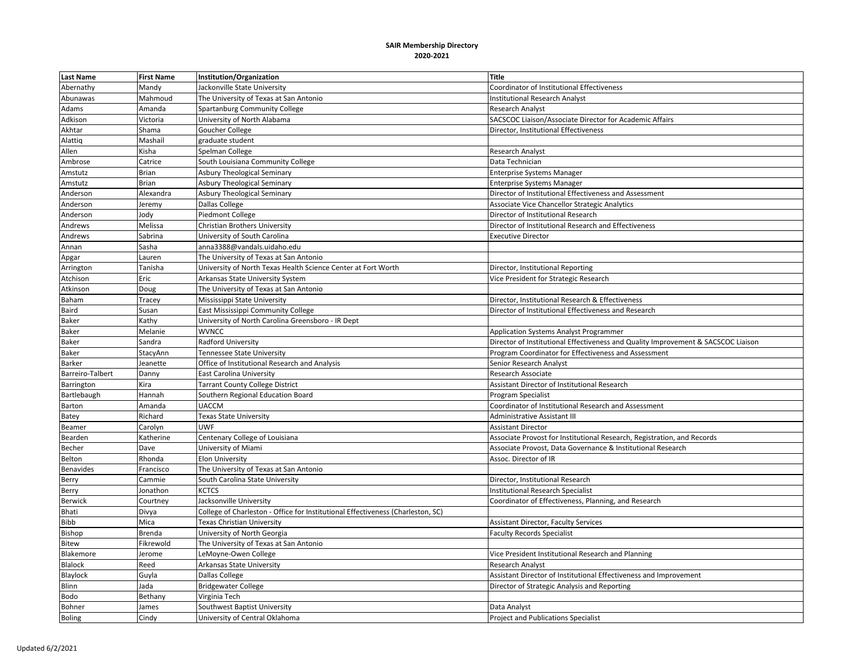| <b>Last Name</b> | <b>First Name</b> | Institution/Organization                                                        | <b>Title</b>                                                                      |
|------------------|-------------------|---------------------------------------------------------------------------------|-----------------------------------------------------------------------------------|
| Abernathy        | Mandy             | Jackonville State University                                                    | Coordinator of Institutional Effectiveness                                        |
| Abunawas         | Mahmoud           | The University of Texas at San Antonio                                          | <b>Institutional Research Analyst</b>                                             |
| Adams            | Amanda            | Spartanburg Community College                                                   | Research Analyst                                                                  |
| Adkison          | Victoria          | University of North Alabama                                                     | SACSCOC Liaison/Associate Director for Academic Affairs                           |
| Akhtar           | Shama             | Goucher College                                                                 | Director, Institutional Effectiveness                                             |
| Alattiq          | Mashail           | graduate student                                                                |                                                                                   |
| Allen            | Kisha             | Spelman College                                                                 | <b>Research Analyst</b>                                                           |
| Ambrose          | Catrice           | South Louisiana Community College                                               | Data Technician                                                                   |
| Amstutz          | <b>Brian</b>      | Asbury Theological Seminary                                                     | <b>Enterprise Systems Manager</b>                                                 |
| Amstutz          | Brian             | <b>Asbury Theological Seminary</b>                                              | <b>Enterprise Systems Manager</b>                                                 |
| Anderson         | Alexandra         | Asbury Theological Seminary                                                     | Director of Institutional Effectiveness and Assessment                            |
| Anderson         | Jeremy            | Dallas College                                                                  | Associate Vice Chancellor Strategic Analytics                                     |
| Anderson         | Jody              | Piedmont College                                                                | Director of Institutional Research                                                |
| Andrews          | Melissa           | Christian Brothers University                                                   | Director of Institutional Research and Effectiveness                              |
| Andrews          | Sabrina           | University of South Carolina                                                    | <b>Executive Director</b>                                                         |
| Annan            | Sasha             | anna3388@vandals.uidaho.edu                                                     |                                                                                   |
| Apgar            | Lauren            | The University of Texas at San Antonio                                          |                                                                                   |
| Arrington        | Tanisha           | University of North Texas Health Science Center at Fort Worth                   | Director, Institutional Reporting                                                 |
| Atchison         | Eric              | Arkansas State University System                                                | Vice President for Strategic Research                                             |
| Atkinson         | Doug              | The University of Texas at San Antonio                                          |                                                                                   |
| Baham            | <b>Tracey</b>     | Mississippi State University                                                    | Director, Institutional Research & Effectiveness                                  |
| Baird            | Susan             | East Mississippi Community College                                              | Director of Institutional Effectiveness and Research                              |
| <b>Baker</b>     | Kathy             | University of North Carolina Greensboro - IR Dept                               |                                                                                   |
| <b>Baker</b>     | Melanie           | <b>WVNCC</b>                                                                    | <b>Application Systems Analyst Programmer</b>                                     |
| <b>Baker</b>     | Sandra            | Radford University                                                              | Director of Institutional Effectiveness and Quality Improvement & SACSCOC Liaison |
| Baker            | StacyAnn          | Tennessee State University                                                      | Program Coordinator for Effectiveness and Assessment                              |
| Barker           | Jeanette          | Office of Institutional Research and Analysis                                   | Senior Research Analyst                                                           |
| Barreiro-Talbert | Danny             | East Carolina University                                                        | Research Associate                                                                |
| Barrington       | Kira              | <b>Tarrant County College District</b>                                          | Assistant Director of Institutional Research                                      |
| Bartlebaugh      | Hannah            | Southern Regional Education Board                                               | Program Specialist                                                                |
| Barton           | Amanda            | <b>UACCM</b>                                                                    | Coordinator of Institutional Research and Assessment                              |
| Batey            | Richard           | <b>Texas State University</b>                                                   | Administrative Assistant III                                                      |
| Beamer           | Carolyn           | <b>UWF</b>                                                                      | <b>Assistant Director</b>                                                         |
| Bearden          | <b>Katherine</b>  | Centenary College of Louisiana                                                  | Associate Provost for Institutional Research, Registration, and Records           |
| Becher           | Dave              | University of Miami                                                             | Associate Provost, Data Governance & Institutional Research                       |
| Belton           | Rhonda            | <b>Elon University</b>                                                          | Assoc. Director of IR                                                             |
| Benavides        | Francisco         | The University of Texas at San Antonio                                          |                                                                                   |
| Berry            | Cammie            | South Carolina State University                                                 | Director, Institutional Research                                                  |
| Berry            | Jonathon          | <b>KCTCS</b>                                                                    | <b>Institutional Research Specialist</b>                                          |
| <b>Berwick</b>   | Courtney          | Jacksonville University                                                         | Coordinator of Effectiveness, Planning, and Research                              |
| Bhati            | Divya             | College of Charleston - Office for Institutional Effectiveness (Charleston, SC) |                                                                                   |
| Bibb             | Mica              | Texas Christian University                                                      | <b>Assistant Director, Faculty Services</b>                                       |
| Bishop           | <b>Brenda</b>     | University of North Georgia                                                     | <b>Faculty Records Specialist</b>                                                 |
| <b>Bitew</b>     | Fikrewold         | The University of Texas at San Antonio                                          |                                                                                   |
| Blakemore        | Jerome            | LeMoyne-Owen College                                                            | Vice President Institutional Research and Planning                                |
| Blalock          | Reed              | Arkansas State University                                                       | Research Analyst                                                                  |
| Blaylock         | Guyla             | Dallas College                                                                  | Assistant Director of Institutional Effectiveness and Improvement                 |
| Blinn            | Jada              | <b>Bridgewater College</b>                                                      | Director of Strategic Analysis and Reporting                                      |
| Bodo             | Bethany           | Virginia Tech                                                                   |                                                                                   |
| Bohner           | James             | Southwest Baptist University                                                    | Data Analyst                                                                      |
| <b>Boling</b>    | Cindy             | University of Central Oklahoma                                                  | <b>Project and Publications Specialist</b>                                        |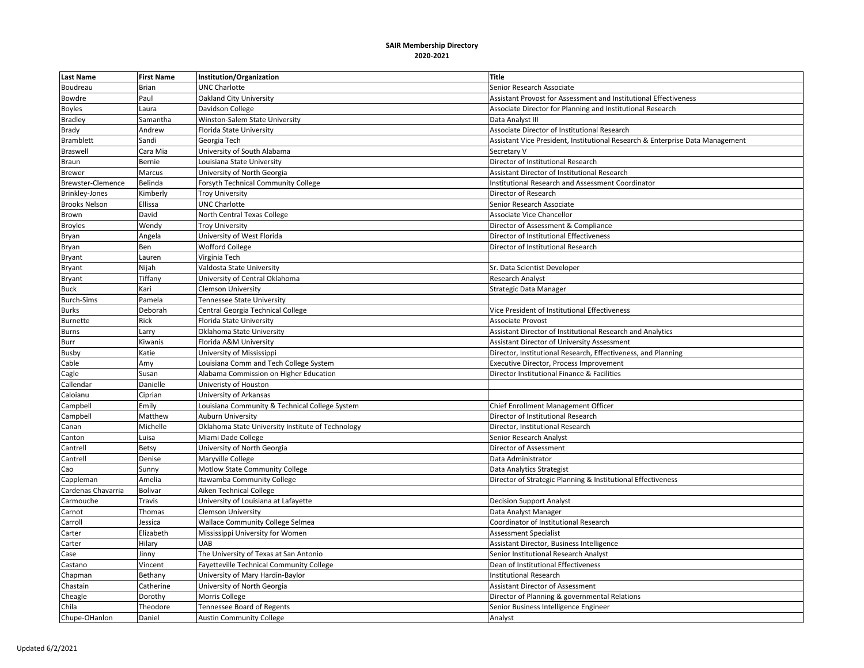| <b>Last Name</b>     | <b>First Name</b> | Institution/Organization                          | <b>Title</b>                                                                  |
|----------------------|-------------------|---------------------------------------------------|-------------------------------------------------------------------------------|
| Boudreau             | Brian             | <b>UNC Charlotte</b>                              | Senior Research Associate                                                     |
| Bowdre               | Paul              | <b>Oakland City University</b>                    | Assistant Provost for Assessment and Institutional Effectiveness              |
| <b>Boyles</b>        | Laura             | Davidson College                                  | Associate Director for Planning and Institutional Research                    |
| <b>Bradley</b>       | Samantha          | Winston-Salem State University                    | Data Analyst III                                                              |
| Brady                | Andrew            | Florida State University                          | Associate Director of Institutional Research                                  |
| <b>Bramblett</b>     | Sandi             | Georgia Tech                                      | Assistant Vice President, Institutional Research & Enterprise Data Management |
| <b>Braswell</b>      | Cara Mia          | University of South Alabama                       | Secretary V                                                                   |
| Braun                | Bernie            | Louisiana State University                        | Director of Institutional Research                                            |
| <b>Brewer</b>        | Marcus            | University of North Georgia                       | Assistant Director of Institutional Research                                  |
| Brewster-Clemence    | Belinda           | Forsyth Technical Community College               | <b>Institutional Research and Assessment Coordinator</b>                      |
| Brinkley-Jones       | Kimberly          | <b>Troy University</b>                            | Director of Research                                                          |
| <b>Brooks Nelson</b> | Ellissa           | <b>UNC Charlotte</b>                              | Senior Research Associate                                                     |
| Brown                | David             | North Central Texas College                       | <b>Associate Vice Chancellor</b>                                              |
| <b>Broyles</b>       | Wendy             | <b>Troy University</b>                            | Director of Assessment & Compliance                                           |
| Bryan                | Angela            | University of West Florida                        | Director of Institutional Effectiveness                                       |
| Bryan                | Ben               | <b>Wofford College</b>                            | Director of Institutional Research                                            |
| Bryant               | Lauren            | Virginia Tech                                     |                                                                               |
| Bryant               | Nijah             | Valdosta State University                         | Sr. Data Scientist Developer                                                  |
| Bryant               | Tiffany           | University of Central Oklahoma                    | <b>Research Analyst</b>                                                       |
| <b>Buck</b>          | Kari              | <b>Clemson University</b>                         | <b>Strategic Data Manager</b>                                                 |
| <b>Burch-Sims</b>    | Pamela            | Tennessee State University                        |                                                                               |
| <b>Burks</b>         | Deborah           | Central Georgia Technical College                 | Vice President of Institutional Effectiveness                                 |
| <b>Burnette</b>      | Rick              | Florida State University                          | <b>Associate Provost</b>                                                      |
| Burns                | Larry             | Oklahoma State University                         | Assistant Director of Institutional Research and Analytics                    |
| Burr                 | Kiwanis           | Florida A&M University                            | Assistant Director of University Assessment                                   |
| Busby                | Katie             | University of Mississippi                         | Director, Institutional Research, Effectiveness, and Planning                 |
| Cable                | Amy               | Louisiana Comm and Tech College System            | Executive Director, Process Improvement                                       |
| Cagle                | Susan             | Alabama Commission on Higher Education            | Director Institutional Finance & Facilities                                   |
| Callendar            | Danielle          | Univeristy of Houston                             |                                                                               |
| Caloianu             | Ciprian           | University of Arkansas                            |                                                                               |
| Campbell             | Emily             | Louisiana Community & Technical College System    | Chief Enrollment Management Officer                                           |
| Campbell             | Matthew           | <b>Auburn University</b>                          | Director of Institutional Research                                            |
| Canan                | Michelle          | Oklahoma State University Institute of Technology | Director, Institutional Research                                              |
| Canton               | Luisa             | Miami Dade College                                | Senior Research Analyst                                                       |
| Cantrell             | Betsy             | University of North Georgia                       | Director of Assessment                                                        |
| Cantrell             | Denise            | Maryville College                                 | Data Administrator                                                            |
| Cao                  | Sunny             | Motlow State Community College                    | Data Analytics Strategist                                                     |
| Cappleman            | Amelia            | Itawamba Community College                        | Director of Strategic Planning & Institutional Effectiveness                  |
| Cardenas Chavarria   | <b>Bolivar</b>    | Aiken Technical College                           |                                                                               |
| Carmouche            | Travis            | University of Louisiana at Lafayette              | <b>Decision Support Analyst</b>                                               |
| Carnot               | Thomas            | <b>Clemson University</b>                         | Data Analyst Manager                                                          |
| Carroll              | Jessica           | <b>Wallace Community College Selmea</b>           | Coordinator of Institutional Research                                         |
| Carter               | Elizabeth         | Mississippi University for Women                  | <b>Assessment Specialist</b>                                                  |
| Carter               | Hilary            | <b>UAB</b>                                        | Assistant Director, Business Intelligence                                     |
| Case                 | Jinny             | The University of Texas at San Antonio            | Senior Institutional Research Analyst                                         |
| Castano              | Vincent           | Fayetteville Technical Community College          | Dean of Institutional Effectiveness                                           |
| Chapman              | Bethany           | University of Mary Hardin-Baylor                  | <b>Institutional Research</b>                                                 |
| Chastain             | Catherine         | University of North Georgia                       | Assistant Director of Assessment                                              |
| Cheagle              | Dorothy           | Morris College                                    | Director of Planning & governmental Relations                                 |
| Chila                | Theodore          | Tennessee Board of Regents                        | Senior Business Intelligence Engineer                                         |
| Chupe-OHanlon        | Daniel            | <b>Austin Community College</b>                   | Analyst                                                                       |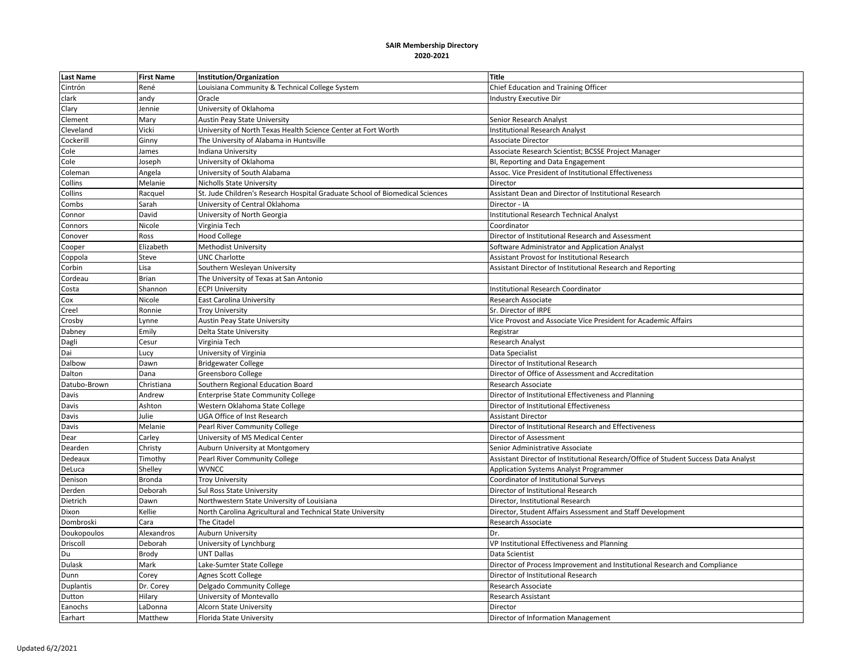| <b>Last Name</b> | <b>First Name</b> | Institution/Organization                                                     | <b>Title</b>                                                                        |
|------------------|-------------------|------------------------------------------------------------------------------|-------------------------------------------------------------------------------------|
| Cintrón          | René              | Louisiana Community & Technical College System                               | Chief Education and Training Officer                                                |
| clark            | andy              | Oracle                                                                       | <b>Industry Executive Dir</b>                                                       |
| Clary            | Jennie            | University of Oklahoma                                                       |                                                                                     |
| Clement          | Mary              | <b>Austin Peay State University</b>                                          | Senior Research Analyst                                                             |
| Cleveland        | Vicki             | University of North Texas Health Science Center at Fort Worth                | <b>Institutional Research Analyst</b>                                               |
| Cockerill        | Ginny             | The University of Alabama in Huntsville                                      | <b>Associate Director</b>                                                           |
| Cole             | James             | Indiana University                                                           | Associate Research Scientist; BCSSE Project Manager                                 |
| Cole             | Joseph            | University of Oklahoma                                                       | BI, Reporting and Data Engagement                                                   |
| Coleman          | Angela            | University of South Alabama                                                  | Assoc. Vice President of Institutional Effectiveness                                |
| Collins          | Melanie           | <b>Nicholls State University</b>                                             | Director                                                                            |
| Collins          | Racquel           | St. Jude Children's Research Hospital Graduate School of Biomedical Sciences | Assistant Dean and Director of Institutional Research                               |
| Combs            | Sarah             | University of Central Oklahoma                                               | Director - IA                                                                       |
| Connor           | David             | University of North Georgia                                                  | <b>Institutional Research Technical Analyst</b>                                     |
| Connors          | Nicole            | Virginia Tech                                                                | Coordinator                                                                         |
| Conover          | Ross              | <b>Hood College</b>                                                          | Director of Institutional Research and Assessment                                   |
| Cooper           | Elizabeth         | Methodist University                                                         | Software Administrator and Application Analyst                                      |
| Coppola          | Steve             | UNC Charlotte                                                                | Assistant Provost for Institutional Research                                        |
| Corbin           | Lisa              | Southern Wesleyan University                                                 | Assistant Director of Institutional Research and Reporting                          |
| Cordeau          | Brian             | The University of Texas at San Antonio                                       |                                                                                     |
| Costa            | Shannon           | <b>ECPI University</b>                                                       | <b>Institutional Research Coordinator</b>                                           |
| Сох              | Nicole            | East Carolina University                                                     | Research Associate                                                                  |
| Creel            | Ronnie            | <b>Troy University</b>                                                       | Sr. Director of IRPE                                                                |
| Crosby           | Lynne             | <b>Austin Peay State University</b>                                          | Vice Provost and Associate Vice President for Academic Affairs                      |
| Dabney           | Emily             | Delta State University                                                       | Registrar                                                                           |
| Dagli            | Cesur             | Virginia Tech                                                                | Research Analyst                                                                    |
| Dai              | Lucy              | University of Virginia                                                       | Data Specialist                                                                     |
| Dalbow           | Dawn              | <b>Bridgewater College</b>                                                   | Director of Institutional Research                                                  |
| Dalton           | Dana              | Greensboro College                                                           | Director of Office of Assessment and Accreditation                                  |
| Datubo-Brown     | Christiana        | Southern Regional Education Board                                            | Research Associate                                                                  |
| Davis            | Andrew            | <b>Enterprise State Community College</b>                                    | Director of Institutional Effectiveness and Planning                                |
| Davis            | Ashton            | Western Oklahoma State College                                               | Director of Institutional Effectiveness                                             |
| Davis            | Julie             | UGA Office of Inst Research                                                  | <b>Assistant Director</b>                                                           |
| Davis            | Melanie           | Pearl River Community College                                                | Director of Institutional Research and Effectiveness                                |
| Dear             | Carley            | University of MS Medical Center                                              | Director of Assessment                                                              |
| Dearden          | Christy           | Auburn University at Montgomery                                              | Senior Administrative Associate                                                     |
| Dedeaux          | Timothy           | Pearl River Community College                                                | Assistant Director of Institutional Research/Office of Student Success Data Analyst |
| DeLuca           | Shelley           | <b>WVNCC</b>                                                                 | <b>Application Systems Analyst Programmer</b>                                       |
| Denison          | <b>Bronda</b>     | <b>Troy University</b>                                                       | Coordinator of Institutional Surveys                                                |
| Derden           | Deborah           | Sul Ross State University                                                    | Director of Institutional Research                                                  |
| Dietrich         | Dawn              | Northwestern State University of Louisiana                                   | Director, Institutional Research                                                    |
| Dixon            | Kellie            | North Carolina Agricultural and Technical State University                   | Director, Student Affairs Assessment and Staff Development                          |
| Dombroski        | Cara              | The Citadel                                                                  | Research Associate                                                                  |
| Doukopoulos      | Alexandros        | <b>Auburn University</b>                                                     | Dr.                                                                                 |
| Driscoll         | Deborah           | University of Lynchburg                                                      | VP Institutional Effectiveness and Planning                                         |
| Du               | Brody             | <b>UNT Dallas</b>                                                            | Data Scientist                                                                      |
| Dulask           | Mark              | Lake-Sumter State College                                                    | Director of Process Improvement and Institutional Research and Compliance           |
| Dunn             | Corey             | <b>Agnes Scott College</b>                                                   | Director of Institutional Research                                                  |
| Duplantis        | Dr. Corey         | Delgado Community College                                                    | Research Associate                                                                  |
| Dutton           | Hilary            | University of Montevallo                                                     | Research Assistant                                                                  |
| Eanochs          | LaDonna           | <b>Alcorn State University</b>                                               | Director                                                                            |
| Earhart          | Matthew           | Florida State University                                                     | Director of Information Management                                                  |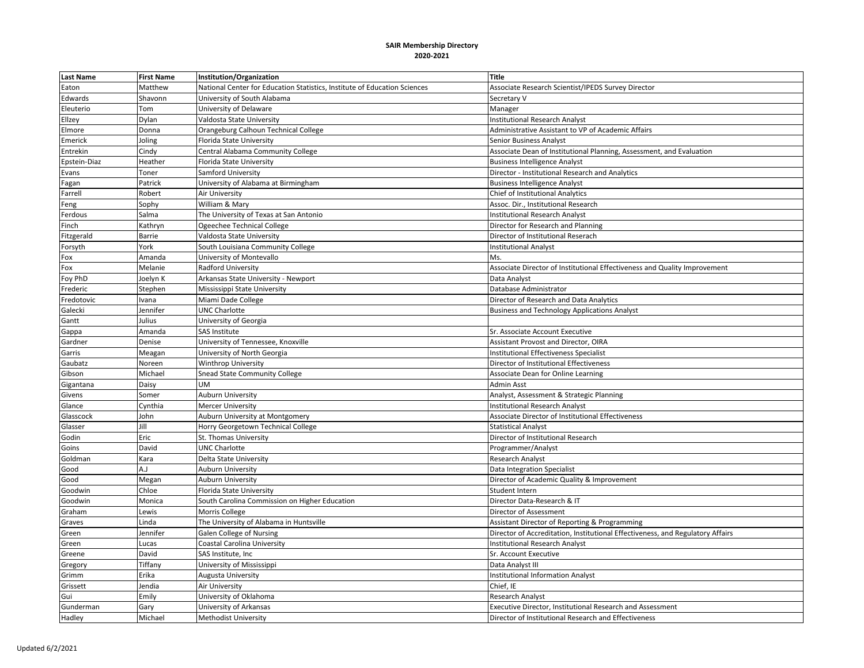| <b>Last Name</b>  | <b>First Name</b>                                                                                       | Institution/Organization                                                  | <b>Title</b>                                                                   |
|-------------------|---------------------------------------------------------------------------------------------------------|---------------------------------------------------------------------------|--------------------------------------------------------------------------------|
| Eaton             | Matthew                                                                                                 | National Center for Education Statistics, Institute of Education Sciences | Associate Research Scientist/IPEDS Survey Director                             |
| Edwards           | Shavonn                                                                                                 | University of South Alabama                                               | Secretary V                                                                    |
| Eleuterio         | Tom                                                                                                     | University of Delaware                                                    | Manager                                                                        |
| Ellzey            | Dylan                                                                                                   | Valdosta State University                                                 | <b>Institutional Research Analyst</b>                                          |
| Elmore            | Donna                                                                                                   | Orangeburg Calhoun Technical College                                      | Administrative Assistant to VP of Academic Affairs                             |
| Emerick           | Joling                                                                                                  | Florida State University                                                  | Senior Business Analyst                                                        |
| Entrekin          | Cindy                                                                                                   | Central Alabama Community College                                         | Associate Dean of Institutional Planning, Assessment, and Evaluation           |
| Epstein-Diaz      | Heather                                                                                                 | Florida State University                                                  | <b>Business Intelligence Analyst</b>                                           |
| Evans             | Toner                                                                                                   | Samford University                                                        | Director - Institutional Research and Analytics                                |
| Fagan             | Patrick                                                                                                 | University of Alabama at Birmingham                                       | <b>Business Intelligence Analyst</b>                                           |
| Farrell           | Robert                                                                                                  | Air University                                                            | Chief of Institutional Analytics                                               |
| Feng              | Sophy                                                                                                   | William & Mary                                                            | Assoc. Dir., Institutional Research                                            |
| Ferdous           | Salma                                                                                                   | The University of Texas at San Antonio                                    | <b>Institutional Research Analyst</b>                                          |
| Finch             | <athryn< td=""><td>Ogeechee Technical College</td><td>Director for Research and Planning</td></athryn<> | Ogeechee Technical College                                                | Director for Research and Planning                                             |
| <b>Fitzgerald</b> | <b>Barrie</b>                                                                                           | Valdosta State University                                                 | Director of Institutional Reserach                                             |
| Forsyth           | York                                                                                                    | South Louisiana Community College                                         | <b>Institutional Analyst</b>                                                   |
| Fox               | Amanda                                                                                                  | University of Montevallo                                                  | Ms.                                                                            |
| Fox               | Melanie                                                                                                 | Radford University                                                        | Associate Director of Institutional Effectiveness and Quality Improvement      |
| Foy PhD           | Joelyn K                                                                                                | Arkansas State University - Newport                                       | Data Analyst                                                                   |
| Frederic          | Stephen                                                                                                 | Mississippi State University                                              | Database Administrator                                                         |
| Fredotovic        | Ivana                                                                                                   | Miami Dade College                                                        | Director of Research and Data Analytics                                        |
| Galecki           | Jennifer                                                                                                | <b>UNC Charlotte</b>                                                      | <b>Business and Technology Applications Analyst</b>                            |
| Gantt             | Julius                                                                                                  | University of Georgia                                                     |                                                                                |
| Gappa             | Amanda                                                                                                  | SAS Institute                                                             | Sr. Associate Account Executive                                                |
| Gardner           | Denise                                                                                                  | University of Tennessee, Knoxville                                        | Assistant Provost and Director, OIRA                                           |
| Garris            | Meagan                                                                                                  | University of North Georgia                                               | <b>Institutional Effectiveness Specialist</b>                                  |
| Gaubatz           | Noreen                                                                                                  | Winthrop University                                                       | Director of Institutional Effectiveness                                        |
| Gibson            | Michael                                                                                                 | Snead State Community College                                             | Associate Dean for Online Learning                                             |
| Gigantana         | Daisy                                                                                                   | <b>UM</b>                                                                 | Admin Asst                                                                     |
| Givens            | Somer                                                                                                   | <b>Auburn University</b>                                                  | Analyst, Assessment & Strategic Planning                                       |
| Glance            | Cynthia                                                                                                 | Mercer University                                                         | <b>Institutional Research Analyst</b>                                          |
| Glasscock         | John                                                                                                    | Auburn University at Montgomery                                           | Associate Director of Institutional Effectiveness                              |
| Glasser           | Jill                                                                                                    | Horry Georgetown Technical College                                        | <b>Statistical Analyst</b>                                                     |
| Godin             | Eric                                                                                                    | St. Thomas University                                                     | Director of Institutional Research                                             |
| Goins             | David                                                                                                   | UNC Charlotte                                                             | Programmer/Analyst                                                             |
| Goldman           | Kara                                                                                                    | Delta State University                                                    | <b>Research Analyst</b>                                                        |
| Good              | L.A                                                                                                     | <b>Auburn University</b>                                                  | Data Integration Specialist                                                    |
| Good              | Megan                                                                                                   | <b>Auburn University</b>                                                  | Director of Academic Quality & Improvement                                     |
| Goodwin           | Chloe                                                                                                   | Florida State University                                                  | Student Intern                                                                 |
| Goodwin           | Monica                                                                                                  | South Carolina Commission on Higher Education                             | Director Data-Research & IT                                                    |
| Graham            | Lewis                                                                                                   | Morris College                                                            | Director of Assessment                                                         |
| Graves            | Linda                                                                                                   | The University of Alabama in Huntsville                                   | Assistant Director of Reporting & Programming                                  |
| Green             | Jennifer                                                                                                | Galen College of Nursing                                                  | Director of Accreditation, Institutional Effectiveness, and Regulatory Affairs |
| Green             | Lucas                                                                                                   | Coastal Carolina University                                               | <b>Institutional Research Analyst</b>                                          |
| Greene            | David                                                                                                   | SAS Institute, Inc                                                        | Sr. Account Executive                                                          |
| Gregory           | Tiffany                                                                                                 | University of Mississippi                                                 | Data Analyst III                                                               |
| Grimm             | Erika                                                                                                   | Augusta University                                                        | <b>Institutional Information Analyst</b>                                       |
| Grissett          | Jendia                                                                                                  | Air University                                                            | Chief, IE                                                                      |
| Gui               | Emily                                                                                                   | University of Oklahoma                                                    | <b>Research Analyst</b>                                                        |
| Gunderman         | Gary                                                                                                    | University of Arkansas                                                    | Executive Director, Institutional Research and Assessment                      |
| Hadley            | Michael                                                                                                 | <b>Methodist University</b>                                               | Director of Institutional Research and Effectiveness                           |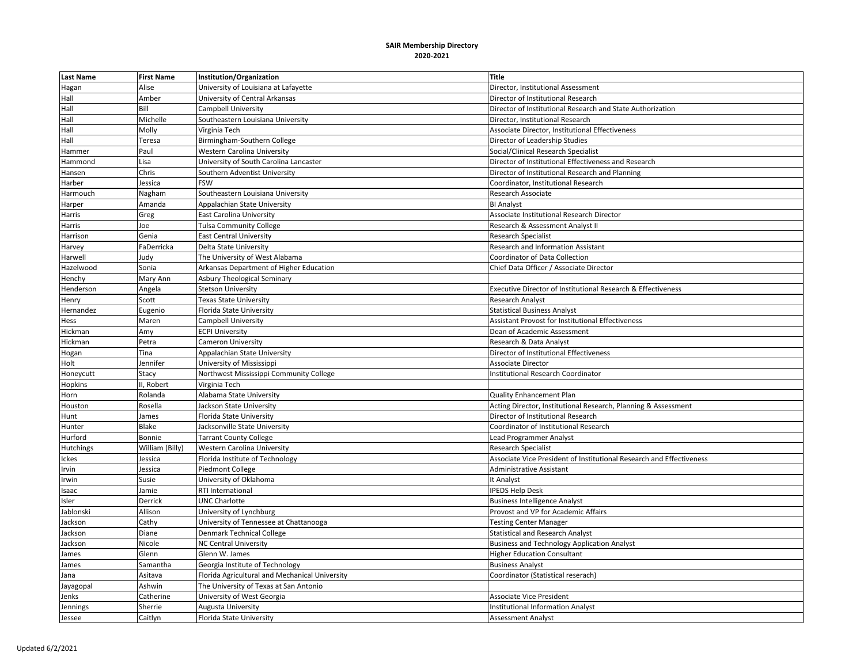| <b>Last Name</b> | <b>First Name</b> | Institution/Organization                       | <b>Title</b>                                                         |
|------------------|-------------------|------------------------------------------------|----------------------------------------------------------------------|
| Hagan            | Alise             | University of Louisiana at Lafayette           | Director, Institutional Assessment                                   |
| Hall             | Amber             | University of Central Arkansas                 | Director of Institutional Research                                   |
| Hall             | Bill              | Campbell University                            | Director of Institutional Research and State Authorization           |
| Hall             | Michelle          | Southeastern Louisiana University              | Director, Institutional Research                                     |
| Hall             | Molly             | Virginia Tech                                  | Associate Director, Institutional Effectiveness                      |
| Hall             | Teresa            | Birmingham-Southern College                    | Director of Leadership Studies                                       |
| Hammer           | Paul              | <b>Western Carolina University</b>             | Social/Clinical Research Specialist                                  |
| Hammond          | Lisa              | University of South Carolina Lancaster         | Director of Institutional Effectiveness and Research                 |
| Hansen           | Chris             | Southern Adventist University                  | Director of Institutional Research and Planning                      |
| Harber           | Jessica           | FSW                                            | Coordinator, Institutional Research                                  |
| Harmouch         | Nagham            | Southeastern Louisiana University              | Research Associate                                                   |
| Harper           | Amanda            | Appalachian State University                   | <b>BI Analyst</b>                                                    |
| Harris           | Greg              | <b>East Carolina University</b>                | Associate Institutional Research Director                            |
| Harris           | Joe               | <b>Tulsa Community College</b>                 | Research & Assessment Analyst II                                     |
| Harrison         | Genia             | <b>East Central University</b>                 | <b>Research Specialist</b>                                           |
| Harvey           | FaDerricka        | Delta State University                         | Research and Information Assistant                                   |
| Harwell          | Judy              | The University of West Alabama                 | Coordinator of Data Collection                                       |
| Hazelwood        | Sonia             | Arkansas Department of Higher Education        | Chief Data Officer / Associate Director                              |
| Henchy           | Mary Ann          | Asbury Theological Seminary                    |                                                                      |
| Henderson        | Angela            | <b>Stetson University</b>                      | Executive Director of Institutional Research & Effectiveness         |
| Henry            | Scott             | Texas State University                         | <b>Research Analyst</b>                                              |
| Hernandez        | Eugenio           | Florida State University                       | <b>Statistical Business Analyst</b>                                  |
| Hess             | Maren             | Campbell University                            | <b>Assistant Provost for Institutional Effectiveness</b>             |
| Hickman          | Amy               | <b>ECPI University</b>                         | Dean of Academic Assessment                                          |
| Hickman          | Petra             | <b>Cameron University</b>                      | Research & Data Analyst                                              |
| Hogan            | Tina              | Appalachian State University                   | Director of Institutional Effectiveness                              |
| Holt             | Jennifer          | University of Mississippi                      | <b>Associate Director</b>                                            |
| Honeycutt        | Stacy             | Northwest Mississippi Community College        | <b>Institutional Research Coordinator</b>                            |
| Hopkins          | II, Robert        | Virginia Tech                                  |                                                                      |
| Horn             | Rolanda           | Alabama State University                       | Quality Enhancement Plan                                             |
| Houston          | Rosella           | Jackson State University                       | Acting Director, Institutional Research, Planning & Assessment       |
| Hunt             | James             | Florida State University                       | Director of Institutional Research                                   |
| Hunter           | Blake             | Jacksonville State University                  | Coordinator of Institutional Research                                |
| Hurford          | Bonnie            | <b>Tarrant County College</b>                  | Lead Programmer Analyst                                              |
| Hutchings        | William (Billy)   | <b>Western Carolina University</b>             | <b>Research Specialist</b>                                           |
| Ickes            | Jessica           | Florida Institute of Technology                | Associate Vice President of Institutional Research and Effectiveness |
| Irvin            | Jessica           | Piedmont College                               | Administrative Assistant                                             |
| Irwin            | Susie             | University of Oklahoma                         | It Analyst                                                           |
| Isaac            | Jamie             | RTI International                              | <b>IPEDS Help Desk</b>                                               |
| Isler            | Derrick           | <b>UNC Charlotte</b>                           | <b>Business Intelligence Analyst</b>                                 |
| Jablonski        | Allison           | University of Lynchburg                        | Provost and VP for Academic Affairs                                  |
| Jackson          | Cathy             | University of Tennessee at Chattanooga         | <b>Testing Center Manager</b>                                        |
| Jackson          | Diane             | <b>Denmark Technical College</b>               | <b>Statistical and Research Analyst</b>                              |
| Jackson          | Nicole            | <b>NC Central University</b>                   | <b>Business and Technology Application Analyst</b>                   |
| James            | Glenn             | Glenn W. James                                 | <b>Higher Education Consultant</b>                                   |
| James            | Samantha          | Georgia Institute of Technology                | <b>Business Analyst</b>                                              |
| Jana             | Asitava           | Florida Agricultural and Mechanical University | Coordinator (Statistical reserach)                                   |
| Jayagopal        | Ashwin            | The University of Texas at San Antonio         |                                                                      |
| Jenks            | Catherine         | University of West Georgia                     | <b>Associate Vice President</b>                                      |
| Jennings         | Sherrie           | Augusta University                             | <b>Institutional Information Analyst</b>                             |
| Jessee           | Caitlyn           | Florida State University                       | <b>Assessment Analyst</b>                                            |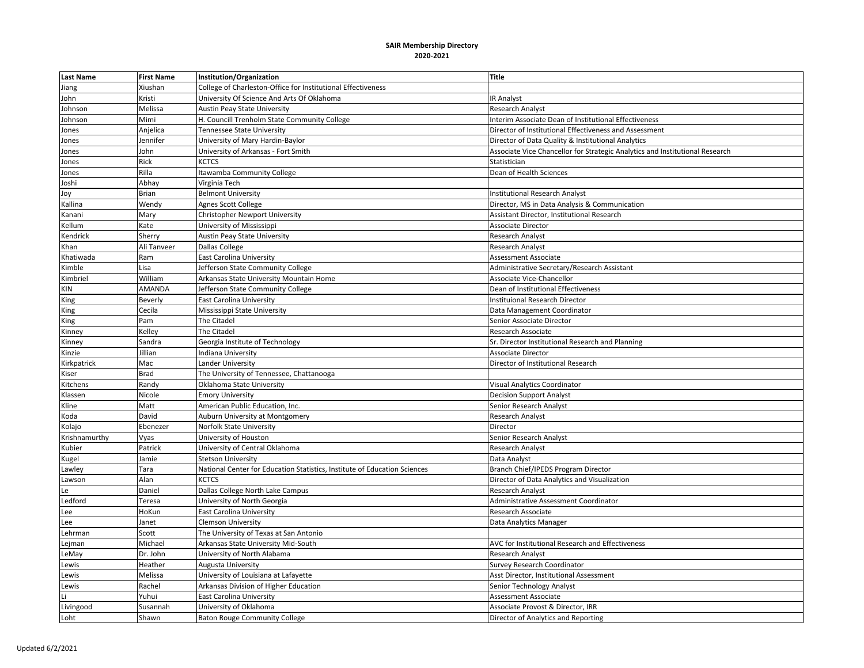| <b>Last Name</b> | <b>First Name</b> | Institution/Organization                                                  | <b>Title</b>                                                                 |
|------------------|-------------------|---------------------------------------------------------------------------|------------------------------------------------------------------------------|
| Jiang            | Xiushan           | College of Charleston-Office for Institutional Effectiveness              |                                                                              |
| John             | Kristi            | University Of Science And Arts Of Oklahoma                                | <b>IR Analyst</b>                                                            |
| Johnson          | Melissa           | <b>Austin Peay State University</b>                                       | <b>Research Analyst</b>                                                      |
| Johnson          | Mimi              | H. Councill Trenholm State Community College                              | Interim Associate Dean of Institutional Effectiveness                        |
| Jones            | Anjelica          | Tennessee State University                                                | Director of Institutional Effectiveness and Assessment                       |
| Jones            | Jennifer          | University of Mary Hardin-Baylor                                          | Director of Data Quality & Institutional Analytics                           |
| Jones            | John              | University of Arkansas - Fort Smith                                       | Associate Vice Chancellor for Strategic Analytics and Institutional Research |
| Jones            | Rick              | KCTCS                                                                     | Statistician                                                                 |
| Jones            | Rilla             | Itawamba Community College                                                | Dean of Health Sciences                                                      |
| Joshi            | Abhay             | Virginia Tech                                                             |                                                                              |
| Joy              | Brian             | <b>Belmont University</b>                                                 | <b>Institutional Research Analyst</b>                                        |
| Kallina          | Wendy             | Agnes Scott College                                                       | Director, MS in Data Analysis & Communication                                |
| Kanani           | Mary              | Christopher Newport University                                            | Assistant Director, Institutional Research                                   |
| Kellum           | Kate              | University of Mississippi                                                 | Associate Director                                                           |
| Kendrick         | Sherry            | <b>Austin Peay State University</b>                                       | Research Analyst                                                             |
| Khan             | Ali Tanveer       | Dallas College                                                            | Research Analyst                                                             |
| Khatiwada        | Ram               | <b>East Carolina University</b>                                           | Assessment Associate                                                         |
| Kimble           | Lisa              | Jefferson State Community College                                         | Administrative Secretary/Research Assistant                                  |
| Kimbriel         | William           | Arkansas State University Mountain Home                                   | Associate Vice-Chancellor                                                    |
| KIN              | AMANDA            | Jefferson State Community College                                         | Dean of Institutional Effectiveness                                          |
| King             | Beverly           | East Carolina University                                                  | Instituional Research Director                                               |
| King             | Cecila            | Mississippi State University                                              | Data Management Coordinator                                                  |
| King             | Pam               | <b>The Citadel</b>                                                        | Senior Associate Director                                                    |
| Kinney           | Kelley            | The Citadel                                                               | Research Associate                                                           |
| Kinney           | Sandra            | Georgia Institute of Technology                                           | Sr. Director Institutional Research and Planning                             |
| Kinzie           | Jillian           | Indiana University                                                        | <b>Associate Director</b>                                                    |
| Kirkpatrick      | Mac               | Lander University                                                         | Director of Institutional Research                                           |
| Kiser            | <b>Brad</b>       | The University of Tennessee, Chattanooga                                  |                                                                              |
| Kitchens         | Randy             | Oklahoma State University                                                 | <b>Visual Analytics Coordinator</b>                                          |
| Klassen          | Nicole            | <b>Emory University</b>                                                   | <b>Decision Support Analyst</b>                                              |
| Kline            | Matt              | American Public Education, Inc.                                           | Senior Research Analyst                                                      |
| Koda             | David             | Auburn University at Montgomery                                           | Research Analyst                                                             |
| Kolajo           | Ebenezer          | Norfolk State University                                                  | Director                                                                     |
| Krishnamurthy    | Vyas              | University of Houston                                                     | Senior Research Analyst                                                      |
| Kubier           | Patrick           | University of Central Oklahoma                                            | Research Analyst                                                             |
| Kugel            | Jamie             | <b>Stetson University</b>                                                 | Data Analyst                                                                 |
| Lawley           | Tara              | National Center for Education Statistics, Institute of Education Sciences | Branch Chief/IPEDS Program Director                                          |
| Lawson           | Alan              | <b>KCTCS</b>                                                              | Director of Data Analytics and Visualization                                 |
| Le               | Daniel            | Dallas College North Lake Campus                                          | Research Analyst                                                             |
| Ledford          | Teresa            | University of North Georgia                                               | Administrative Assessment Coordinator                                        |
| Lee              | HoKun             | <b>East Carolina University</b>                                           | Research Associate                                                           |
| Lee              | Janet             | <b>Clemson University</b>                                                 | Data Analytics Manager                                                       |
| Lehrman          | Scott             | The University of Texas at San Antonio                                    |                                                                              |
| Lejman           | Michael           | Arkansas State University Mid-South                                       | AVC for Institutional Research and Effectiveness                             |
| LeMay            | Dr. John          | University of North Alabama                                               | Research Analyst                                                             |
| Lewis            | Heather           | Augusta University                                                        | Survey Research Coordinator                                                  |
| Lewis            | Melissa           | University of Louisiana at Lafayette                                      | Asst Director, Institutional Assessment                                      |
| Lewis            | Rachel            | Arkansas Division of Higher Education                                     | Senior Technology Analyst                                                    |
| Li               | Yuhui             | <b>East Carolina University</b>                                           | Assessment Associate                                                         |
| Livingood        | Susannah          | University of Oklahoma                                                    | Associate Provost & Director, IRR                                            |
| Loht             | Shawn             | <b>Baton Rouge Community College</b>                                      | Director of Analytics and Reporting                                          |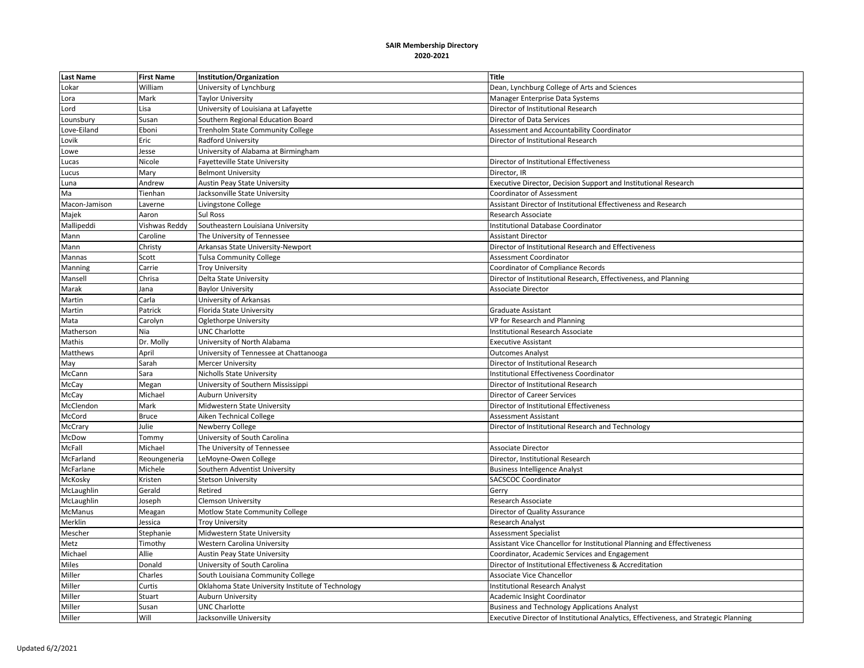| <b>Last Name</b> | <b>First Name</b> | Institution/Organization                          | <b>Title</b>                                                                         |
|------------------|-------------------|---------------------------------------------------|--------------------------------------------------------------------------------------|
| Lokar            | William           | University of Lynchburg                           | Dean, Lynchburg College of Arts and Sciences                                         |
| Lora             | Mark              | <b>Taylor University</b>                          | Manager Enterprise Data Systems                                                      |
| Lord             | Lisa              | University of Louisiana at Lafayette              | Director of Institutional Research                                                   |
| Lounsbury        | Susan             | Southern Regional Education Board                 | Director of Data Services                                                            |
| Love-Eiland      | Eboni             | Trenholm State Community College                  | Assessment and Accountability Coordinator                                            |
| Lovik            | Eric              | Radford University                                | Director of Institutional Research                                                   |
| Lowe             | Jesse             | University of Alabama at Birmingham               |                                                                                      |
| Lucas            | Nicole            | Fayetteville State University                     | Director of Institutional Effectiveness                                              |
| Lucus            | Mary              | <b>Belmont University</b>                         | Director, IR                                                                         |
| Luna             | Andrew            | Austin Peay State University                      | Executive Director, Decision Support and Institutional Research                      |
| Ma               | Tienhan           | Jacksonville State University                     | <b>Coordinator of Assessment</b>                                                     |
| Macon-Jamison    | Laverne           | Livingstone College                               | Assistant Director of Institutional Effectiveness and Research                       |
| Majek            | Aaron             | <b>Sul Ross</b>                                   | Research Associate                                                                   |
| Mallipeddi       | Vishwas Reddy     | Southeastern Louisiana University                 | Institutional Database Coordinator                                                   |
| Mann             | Caroline          | The University of Tennessee                       | <b>Assistant Director</b>                                                            |
| Mann             | Christy           | Arkansas State University-Newport                 | Director of Institutional Research and Effectiveness                                 |
| Mannas           | Scott             | <b>Tulsa Community College</b>                    | Assessment Coordinator                                                               |
| Manning          | Carrie            | <b>Troy University</b>                            | Coordinator of Compliance Records                                                    |
| Mansell          | Chrisa            | Delta State University                            | Director of Institutional Research, Effectiveness, and Planning                      |
| Marak            | Jana              | <b>Baylor University</b>                          | <b>Associate Director</b>                                                            |
| Martin           | Carla             | University of Arkansas                            |                                                                                      |
| Martin           | Patrick           | Florida State University                          | <b>Graduate Assistant</b>                                                            |
| Mata             | Carolyn           | <b>Oglethorpe University</b>                      | VP for Research and Planning                                                         |
| Matherson        | Nia               | <b>UNC Charlotte</b>                              | <b>Institutional Research Associate</b>                                              |
| Mathis           | Dr. Molly         | University of North Alabama                       | <b>Executive Assistant</b>                                                           |
| Matthews         | April             | University of Tennessee at Chattanooga            | <b>Outcomes Analyst</b>                                                              |
| May              | Sarah             | <b>Mercer University</b>                          | Director of Institutional Research                                                   |
| McCann           | Sara              | Nicholls State University                         | Institutional Effectiveness Coordinator                                              |
| McCay            | Megan             | University of Southern Mississippi                | Director of Institutional Research                                                   |
| McCay            | Michael           | Auburn University                                 | <b>Director of Career Services</b>                                                   |
| McClendon        | Mark              | Midwestern State University                       | Director of Institutional Effectiveness                                              |
| McCord           | <b>Bruce</b>      | Aiken Technical College                           | <b>Assessment Assistant</b>                                                          |
| McCrary          | Julie             | Newberry College                                  | Director of Institutional Research and Technology                                    |
| McDow            | Tommy             | University of South Carolina                      |                                                                                      |
| McFall           | Michael           | The University of Tennessee                       | <b>Associate Director</b>                                                            |
| McFarland        | Reoungeneria      | LeMoyne-Owen College                              | Director, Institutional Research                                                     |
| McFarlane        | Michele           | Southern Adventist University                     | <b>Business Intelligence Analyst</b>                                                 |
| McKosky          | Kristen           | <b>Stetson University</b>                         | <b>SACSCOC Coordinator</b>                                                           |
| McLaughlin       | Gerald            | Retired                                           | Gerry                                                                                |
| McLaughlin       | Joseph            | <b>Clemson University</b>                         | Research Associate                                                                   |
| McManus          | Meagan            | Motlow State Community College                    | Director of Quality Assurance                                                        |
| Merklin          | Jessica           | <b>Troy University</b>                            | <b>Research Analyst</b>                                                              |
| Mescher          | Stephanie         | Midwestern State University                       | <b>Assessment Specialist</b>                                                         |
| Metz             | Timothy           | Western Carolina University                       | Assistant Vice Chancellor for Institutional Planning and Effectiveness               |
| Michael          | Allie             | <b>Austin Peay State University</b>               | Coordinator, Academic Services and Engagement                                        |
| Miles            | Donald            | University of South Carolina                      | Director of Institutional Effectiveness & Accreditation                              |
| Miller           | Charles           | South Louisiana Community College                 | <b>Associate Vice Chancellor</b>                                                     |
| Miller           | Curtis            | Oklahoma State University Institute of Technology | <b>Institutional Research Analyst</b>                                                |
| Miller           | Stuart            | <b>Auburn University</b>                          | <b>Academic Insight Coordinator</b>                                                  |
| Miller           | Susan             | <b>UNC Charlotte</b>                              | <b>Business and Technology Applications Analyst</b>                                  |
| Miller           | Will              | Jacksonville University                           | Executive Director of Institutional Analytics, Effectiveness, and Strategic Planning |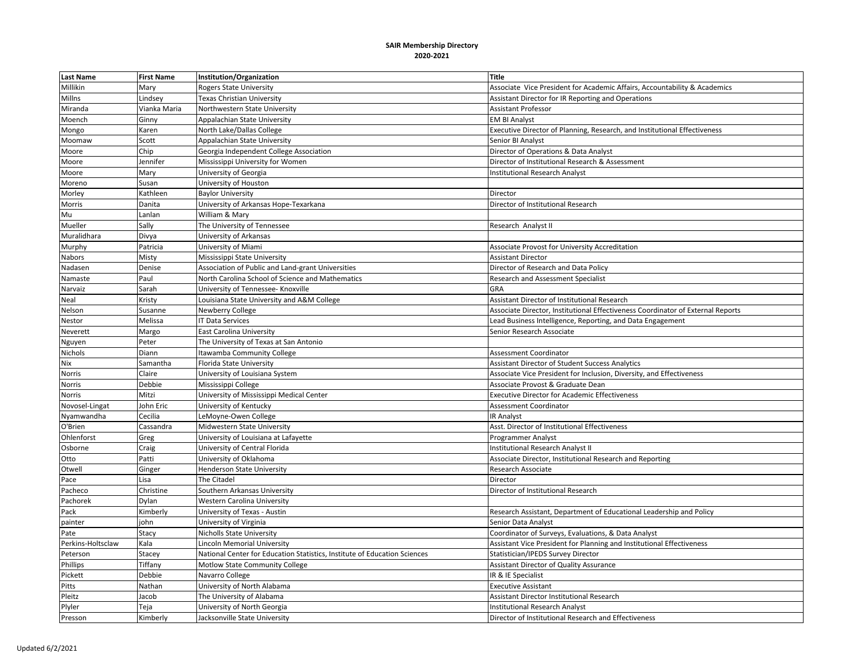| <b>Last Name</b>  | <b>First Name</b> | Institution/Organization                                                  | <b>Title</b>                                                                    |
|-------------------|-------------------|---------------------------------------------------------------------------|---------------------------------------------------------------------------------|
| Millikin          | Mary              | <b>Rogers State University</b>                                            | Associate Vice President for Academic Affairs, Accountability & Academics       |
| Millns            | Lindsey           | Texas Christian University                                                | Assistant Director for IR Reporting and Operations                              |
| Miranda           | Vianka Maria      | Northwestern State University                                             | <b>Assistant Professor</b>                                                      |
| Moench            | Ginny             | Appalachian State University                                              | <b>EM BI Analyst</b>                                                            |
| Mongo             | Karen             | North Lake/Dallas College                                                 | Executive Director of Planning, Research, and Institutional Effectiveness       |
| Moomaw            | Scott             | Appalachian State University                                              | Senior BI Analyst                                                               |
| Moore             | Chip              | Georgia Independent College Association                                   | Director of Operations & Data Analyst                                           |
| Moore             | Jennifer          | Mississippi University for Women                                          | Director of Institutional Research & Assessment                                 |
| Moore             | Mary              | University of Georgia                                                     | <b>Institutional Research Analyst</b>                                           |
| Moreno            | Susan             | University of Houston                                                     |                                                                                 |
| Morley            | Kathleen          | <b>Baylor University</b>                                                  | Director                                                                        |
| Morris            | Danita            | University of Arkansas Hope-Texarkana                                     | Director of Institutional Research                                              |
| Mu                | Lanlan            | William & Mary                                                            |                                                                                 |
| Mueller           | Sally             | The University of Tennessee                                               | Research Analyst II                                                             |
| Muralidhara       | Divya             | University of Arkansas                                                    |                                                                                 |
| Murphy            | Patricia          | University of Miami                                                       | Associate Provost for University Accreditation                                  |
| Nabors            | Misty             | Mississippi State University                                              | <b>Assistant Director</b>                                                       |
| Nadasen           | Denise            | Association of Public and Land-grant Universities                         | Director of Research and Data Policy                                            |
| Namaste           | Paul              | North Carolina School of Science and Mathematics                          | <b>Research and Assessment Specialist</b>                                       |
| Narvaiz           | Sarah             | University of Tennessee- Knoxville                                        | GRA                                                                             |
| Neal              | Kristy            | Louisiana State University and A&M College                                | Assistant Director of Institutional Research                                    |
| Nelson            | Susanne           | Newberry College                                                          | Associate Director, Institutional Effectiveness Coordinator of External Reports |
| Nestor            | Melissa           | <b>IT Data Services</b>                                                   | Lead Business Intelligence, Reporting, and Data Engagement                      |
| Neverett          | Margo             | <b>East Carolina University</b>                                           | Senior Research Associate                                                       |
| Nguyen            | Peter             | The University of Texas at San Antonio                                    |                                                                                 |
| Nichols           | Diann             | Itawamba Community College                                                | Assessment Coordinator                                                          |
| Nix               | Samantha          | Florida State University                                                  | Assistant Director of Student Success Analytics                                 |
| Norris            | Claire            | University of Louisiana System                                            | Associate Vice President for Inclusion, Diversity, and Effectiveness            |
| Norris            | Debbie            | Mississippi College                                                       | Associate Provost & Graduate Dean                                               |
| Norris            | Mitzi             | University of Mississippi Medical Center                                  | <b>Executive Director for Academic Effectiveness</b>                            |
| Novosel-Lingat    | John Eric         | University of Kentucky                                                    | Assessment Coordinator                                                          |
| Nyamwandha        | Cecilia           | LeMoyne-Owen College                                                      | <b>IR Analyst</b>                                                               |
| O'Brien           | Cassandra         | Midwestern State University                                               | Asst. Director of Institutional Effectiveness                                   |
| Ohlenforst        | Greg              | University of Louisiana at Lafayette                                      | Programmer Analyst                                                              |
| Osborne           | Craig             | University of Central Florida                                             | Institutional Research Analyst II                                               |
| Otto              | Patti             | University of Oklahoma                                                    | Associate Director, Institutional Research and Reporting                        |
| Otwell            | Ginger            | <b>Henderson State University</b>                                         | Research Associate                                                              |
| Pace              | Lisa              | The Citadel                                                               | Director                                                                        |
| Pacheco           | Christine         | Southern Arkansas University                                              | Director of Institutional Research                                              |
| Pachorek          | Dylan             | Western Carolina University                                               |                                                                                 |
| Pack              | Kimberly          | University of Texas - Austin                                              | Research Assistant, Department of Educational Leadership and Policy             |
| painter           | john              | University of Virginia                                                    | Senior Data Analyst                                                             |
| Pate              | Stacy             | <b>Nicholls State University</b>                                          | Coordinator of Surveys, Evaluations, & Data Analyst                             |
| Perkins-Holtsclaw | Kala              | Lincoln Memorial University                                               | Assistant Vice President for Planning and Institutional Effectiveness           |
| Peterson          | Stacey            | National Center for Education Statistics, Institute of Education Sciences | Statistician/IPEDS Survey Director                                              |
| Phillips          | Tiffany           | Motlow State Community College                                            | Assistant Director of Quality Assurance                                         |
| Pickett           | Debbie            | Navarro College                                                           | IR & IE Specialist                                                              |
| Pitts             | Nathan            | University of North Alabama                                               | <b>Executive Assistant</b>                                                      |
| Pleitz            | Jacob             | The University of Alabama                                                 | Assistant Director Institutional Research                                       |
| Plyler            | Teja              | University of North Georgia                                               | <b>Institutional Research Analyst</b>                                           |
| Presson           | Kimberly          | Jacksonville State University                                             | Director of Institutional Research and Effectiveness                            |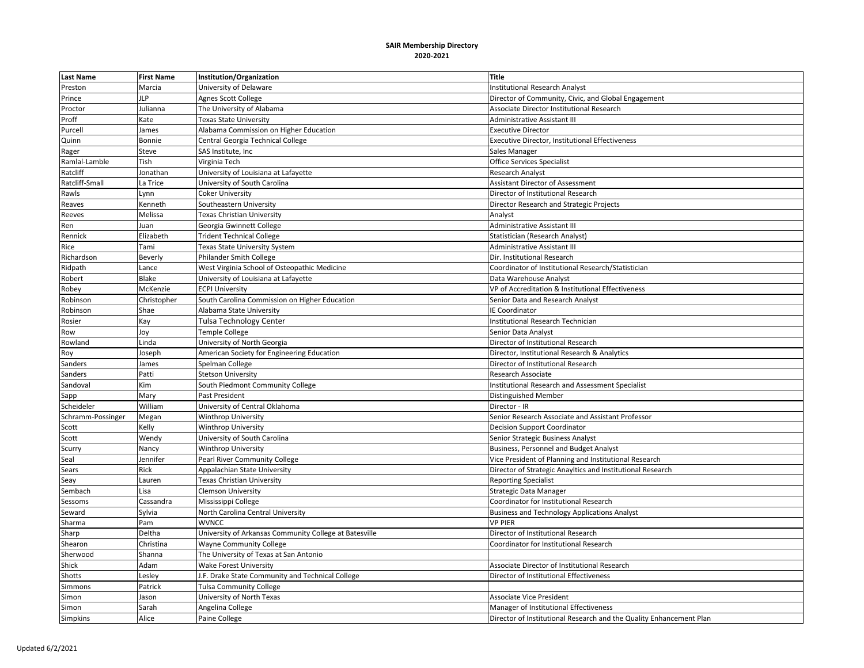| <b>Last Name</b>  | <b>First Name</b> | Institution/Organization                               | <b>Title</b>                                                        |
|-------------------|-------------------|--------------------------------------------------------|---------------------------------------------------------------------|
| Preston           | Marcia            | University of Delaware                                 | <b>Institutional Research Analyst</b>                               |
| Prince            | <b>ILP</b>        | Agnes Scott College                                    | Director of Community, Civic, and Global Engagement                 |
| Proctor           | Julianna          | The University of Alabama                              | Associate Director Institutional Research                           |
| Proff             | Kate              | <b>Texas State University</b>                          | <b>Administrative Assistant III</b>                                 |
| Purcell           | James             | Alabama Commission on Higher Education                 | <b>Executive Director</b>                                           |
| Quinn             | Bonnie            | Central Georgia Technical College                      | <b>Executive Director, Institutional Effectiveness</b>              |
| Rager             | Steve             | SAS Institute, Inc                                     | Sales Manager                                                       |
| Ramlal-Lamble     | Tish              | Virginia Tech                                          | <b>Office Services Specialist</b>                                   |
| Ratcliff          | Jonathan          | University of Louisiana at Lafayette                   | <b>Research Analyst</b>                                             |
| Ratcliff-Small    | La Trice          | University of South Carolina                           | <b>Assistant Director of Assessment</b>                             |
| Rawls             | Lynn              | <b>Coker University</b>                                | Director of Institutional Research                                  |
| Reaves            | Kenneth           | Southeastern University                                | Director Research and Strategic Projects                            |
| Reeves            | Melissa           | Texas Christian University                             | Analyst                                                             |
| Ren               | luan              | Georgia Gwinnett College                               | Administrative Assistant III                                        |
| Rennick           | Elizabeth         | <b>Trident Technical College</b>                       | Statistician (Research Analyst)                                     |
| Rice              | Tami              | Texas State University System                          | Administrative Assistant III                                        |
| Richardson        | Beverly           | Philander Smith College                                | Dir. Institutional Research                                         |
| Ridpath           | Lance             | West Virginia School of Osteopathic Medicine           | Coordinator of Institutional Research/Statistician                  |
| Robert            | Blake             | University of Louisiana at Lafayette                   | Data Warehouse Analyst                                              |
| Robey             | McKenzie          | <b>ECPI University</b>                                 | VP of Accreditation & Institutional Effectiveness                   |
| Robinson          | Christopher       | South Carolina Commission on Higher Education          | Senior Data and Research Analyst                                    |
| Robinson          | Shae              | Alabama State University                               | IE Coordinator                                                      |
| Rosier            | Kay               | Tulsa Technology Center                                | Institutional Research Technician                                   |
| Row               | Joy               | <b>Temple College</b>                                  | Senior Data Analyst                                                 |
| Rowland           | Linda             | University of North Georgia                            | Director of Institutional Research                                  |
| Roy               | Joseph            | American Society for Engineering Education             | Director, Institutional Research & Analytics                        |
| Sanders           | James             | Spelman College                                        | Director of Institutional Research                                  |
| Sanders           | Patti             | <b>Stetson University</b>                              | Research Associate                                                  |
| Sandoval          | Kim               | South Piedmont Community College                       | <b>Institutional Research and Assessment Specialist</b>             |
| Sapp              | Mary              | Past President                                         | <b>Distinguished Member</b>                                         |
| Scheideler        | William           | University of Central Oklahoma                         | Director - IR                                                       |
| Schramm-Possinger | Megan             | <b>Winthrop University</b>                             | Senior Research Associate and Assistant Professor                   |
| Scott             | Kelly             | Winthrop University                                    | <b>Decision Support Coordinator</b>                                 |
| Scott             | Wendy             | University of South Carolina                           | Senior Strategic Business Analyst                                   |
| Scurry            | Nancy             | <b>Winthrop University</b>                             | Business, Personnel and Budget Analyst                              |
| Seal              | Jennifer          | Pearl River Community College                          | Vice President of Planning and Institutional Research               |
| Sears             | Rick              | Appalachian State University                           | Director of Strategic Anayltics and Institutional Research          |
| Seay              | Lauren            | Texas Christian University                             | <b>Reporting Specialist</b>                                         |
| Sembach           | Lisa              | <b>Clemson University</b>                              | Strategic Data Manager                                              |
| Sessoms           | Cassandra         | Mississippi College                                    | Coordinator for Institutional Research                              |
| Seward            | Sylvia            | North Carolina Central University                      | <b>Business and Technology Applications Analyst</b>                 |
| Sharma            | Pam               | <b>WVNCC</b>                                           | <b>VP PIER</b>                                                      |
| Sharp             | Deltha            | University of Arkansas Community College at Batesville | Director of Institutional Research                                  |
| Shearon           | Christina         | <b>Wayne Community College</b>                         | Coordinator for Institutional Research                              |
| Sherwood          | Shanna            | The University of Texas at San Antonio                 |                                                                     |
| Shick             | Adam              | <b>Wake Forest University</b>                          | Associate Director of Institutional Research                        |
| Shotts            | Lesley            | J.F. Drake State Community and Technical College       | Director of Institutional Effectiveness                             |
| Simmons           | Patrick           | <b>Tulsa Community College</b>                         |                                                                     |
| Simon             | Jason             | University of North Texas                              | <b>Associate Vice President</b>                                     |
| Simon             | Sarah             | Angelina College                                       | Manager of Institutional Effectiveness                              |
| Simpkins          | Alice             | Paine College                                          | Director of Institutional Research and the Quality Enhancement Plan |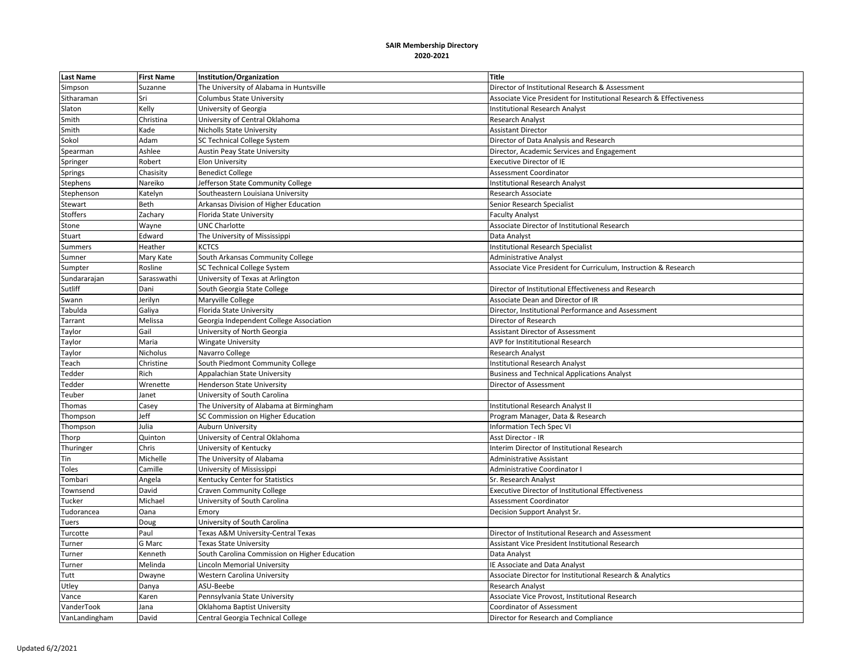| <b>Last Name</b> | <b>First Name</b>                                                                              | Institution/Organization                      | <b>Title</b>                                                        |
|------------------|------------------------------------------------------------------------------------------------|-----------------------------------------------|---------------------------------------------------------------------|
| Simpson          | Suzanne                                                                                        | The University of Alabama in Huntsville       | Director of Institutional Research & Assessment                     |
| Sitharaman       | Sri                                                                                            | Columbus State University                     | Associate Vice President for Institutional Research & Effectiveness |
| Slaton           | Kelly                                                                                          | University of Georgia                         | <b>Institutional Research Analyst</b>                               |
| Smith            | Christina                                                                                      | University of Central Oklahoma                | <b>Research Analyst</b>                                             |
| Smith            | <ade< td=""><td><b>Nicholls State University</b></td><td><b>Assistant Director</b></td></ade<> | <b>Nicholls State University</b>              | <b>Assistant Director</b>                                           |
| Sokol            | Adam                                                                                           | <b>SC Technical College System</b>            | Director of Data Analysis and Research                              |
| Spearman         | Ashlee                                                                                         | Austin Peay State University                  | Director, Academic Services and Engagement                          |
| Springer         | Robert                                                                                         | <b>Elon University</b>                        | <b>Executive Director of IE</b>                                     |
| Springs          | Chasisity                                                                                      | <b>Benedict College</b>                       | Assessment Coordinator                                              |
| Stephens         | Nareiko                                                                                        | Jefferson State Community College             | <b>Institutional Research Analyst</b>                               |
| Stephenson       | Katelyn                                                                                        | Southeastern Louisiana University             | Research Associate                                                  |
| Stewart          | Beth                                                                                           | Arkansas Division of Higher Education         | Senior Research Specialist                                          |
| Stoffers         | Zachary                                                                                        | Florida State University                      | <b>Faculty Analyst</b>                                              |
| Stone            | Wayne                                                                                          | UNC Charlotte                                 | Associate Director of Institutional Research                        |
| Stuart           | Edward                                                                                         | The University of Mississippi                 | Data Analyst                                                        |
| Summers          | Heather                                                                                        | <b>KCTCS</b>                                  | <b>Institutional Research Specialist</b>                            |
| Sumner           | Mary Kate                                                                                      | South Arkansas Community College              | <b>Administrative Analyst</b>                                       |
| Sumpter          | Rosline                                                                                        | <b>SC Technical College System</b>            | Associate Vice President for Curriculum, Instruction & Research     |
| Sundararajan     | Sarasswathi                                                                                    | University of Texas at Arlington              |                                                                     |
| Sutliff          | Dani                                                                                           | South Georgia State College                   | Director of Institutional Effectiveness and Research                |
| Swann            | Jerilyn                                                                                        | Maryville College                             | Associate Dean and Director of IR                                   |
| Tabulda          | Galiya                                                                                         | Florida State University                      | Director, Institutional Performance and Assessment                  |
| Tarrant          | Melissa                                                                                        | Georgia Independent College Association       | Director of Research                                                |
| Taylor           | Gail                                                                                           | University of North Georgia                   | <b>Assistant Director of Assessment</b>                             |
| Taylor           | Maria                                                                                          | <b>Wingate University</b>                     | AVP for Instititutional Research                                    |
| Taylor           | Nicholus                                                                                       | Navarro College                               | Research Analyst                                                    |
| Teach            | Christine                                                                                      | South Piedmont Community College              | Institutional Research Analyst                                      |
| Tedder           | Rich                                                                                           | Appalachian State University                  | <b>Business and Technical Applications Analyst</b>                  |
| Tedder           | Wrenette                                                                                       | <b>Henderson State University</b>             | Director of Assessment                                              |
| Teuber           | Janet                                                                                          | University of South Carolina                  |                                                                     |
| Thomas           | Casey                                                                                          | The University of Alabama at Birmingham       | Institutional Research Analyst II                                   |
| Thompson         | Jeff                                                                                           | SC Commission on Higher Education             | Program Manager, Data & Research                                    |
| Thompson         | Julia                                                                                          | <b>Auburn University</b>                      | <b>Information Tech Spec VI</b>                                     |
| Thorp            | Quinton                                                                                        | University of Central Oklahoma                | Asst Director - IR                                                  |
| Thuringer        | Chris                                                                                          | University of Kentucky                        | Interim Director of Institutional Research                          |
| Tin              | Michelle                                                                                       | The University of Alabama                     | <b>Administrative Assistant</b>                                     |
| Toles            | Camille                                                                                        | University of Mississippi                     | Administrative Coordinator I                                        |
| Tombari          | Angela                                                                                         | Kentucky Center for Statistics                | Sr. Research Analyst                                                |
| Townsend         | David                                                                                          | <b>Craven Community College</b>               | <b>Executive Director of Institutional Effectiveness</b>            |
| Tucker           | Michael                                                                                        | University of South Carolina                  | <b>Assessment Coordinator</b>                                       |
| Tudorancea       | Oana                                                                                           | Emory                                         | Decision Support Analyst Sr.                                        |
| Tuers            | Doug                                                                                           | University of South Carolina                  |                                                                     |
| Turcotte         | Paul                                                                                           | Texas A&M University-Central Texas            | Director of Institutional Research and Assessment                   |
| Turner           | G Marc                                                                                         | <b>Texas State University</b>                 | Assistant Vice President Institutional Research                     |
| Turner           | Kenneth                                                                                        | South Carolina Commission on Higher Education | Data Analyst                                                        |
| Turner           | Melinda                                                                                        | Lincoln Memorial University                   | <b>IE Associate and Data Analyst</b>                                |
| Tutt             | Dwayne                                                                                         | <b>Western Carolina University</b>            | Associate Director for Institutional Research & Analytics           |
| Utley            | Danya                                                                                          | ASU-Beebe                                     | <b>Research Analyst</b>                                             |
| Vance            | Karen                                                                                          | Pennsylvania State University                 | Associate Vice Provost, Institutional Research                      |
| VanderTook       | Jana                                                                                           | Oklahoma Baptist University                   | <b>Coordinator of Assessment</b>                                    |
| VanLandingham    | David                                                                                          | Central Georgia Technical College             | Director for Research and Compliance                                |